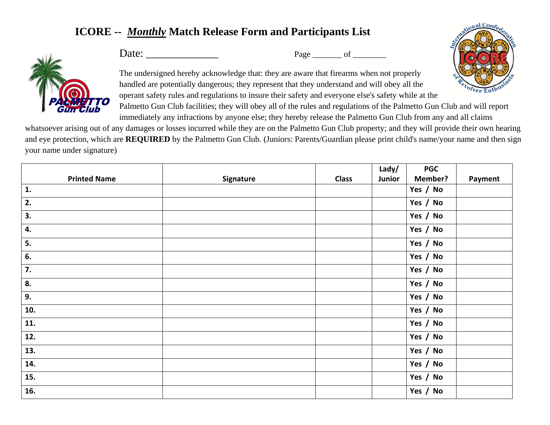## **ICORE --** *Monthly* **Match Release Form and Participants List**



Date: \_\_\_\_\_\_\_\_\_\_\_\_\_ Page \_\_\_\_\_\_\_ of \_\_\_\_\_\_\_\_

The undersigned hereby acknowledge that: they are aware that firearms when not properly handled are potentially dangerous; they represent that they understand and will obey all the operant safety rules and regulations to insure their safety and everyone else's safety while at the Palmetto Gun Club facilities; they will obey all of the rules and regulations of the Palmetto Gun Club and will report

immediately any infractions by anyone else; they hereby release the Palmetto Gun Club from any and all claims whatsoever arising out of any damages or losses incurred while they are on the Palmetto Gun Club property; and they will provide their own hearing and eye protection, which are **REQUIRED** by the Palmetto Gun Club. (Juniors: Parents/Guardian please print child's name/your name and then sign

your name under signature)

|                     |           |              | Lady/  | <b>PGC</b>     |         |
|---------------------|-----------|--------------|--------|----------------|---------|
| <b>Printed Name</b> | Signature | <b>Class</b> | Junior | <b>Member?</b> | Payment |
| 1.                  |           |              |        | Yes / No       |         |
| 2.                  |           |              |        | Yes / No       |         |
| 3.                  |           |              |        | Yes / No       |         |
| 4.                  |           |              |        | Yes / No       |         |
| 5.                  |           |              |        | Yes / No       |         |
| 6.                  |           |              |        | Yes / No       |         |
| 7.                  |           |              |        | Yes / No       |         |
| 8.                  |           |              |        | Yes / No       |         |
| 9.                  |           |              |        | Yes / No       |         |
| 10.                 |           |              |        | Yes / No       |         |
| 11.                 |           |              |        | Yes / No       |         |
| 12.                 |           |              |        | Yes / No       |         |
| 13.                 |           |              |        | Yes / No       |         |
| 14.                 |           |              |        | Yes / No       |         |
| 15.                 |           |              |        | Yes / No       |         |
| 16.                 |           |              |        | Yes / No       |         |

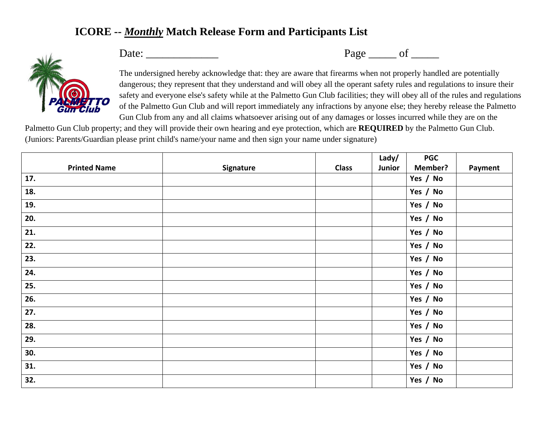## **ICORE --** *Monthly* **Match Release Form and Participants List**



Date: \_\_\_\_\_\_\_\_\_\_\_\_\_ Page \_\_\_\_\_ of \_\_\_\_\_

The undersigned hereby acknowledge that: they are aware that firearms when not properly handled are potentially dangerous; they represent that they understand and will obey all the operant safety rules and regulations to insure their safety and everyone else's safety while at the Palmetto Gun Club facilities; they will obey all of the rules and regulations of the Palmetto Gun Club and will report immediately any infractions by anyone else; they hereby release the Palmetto Gun Club from any and all claims whatsoever arising out of any damages or losses incurred while they are on the

Palmetto Gun Club property; and they will provide their own hearing and eye protection, which are **REQUIRED** by the Palmetto Gun Club. (Juniors: Parents/Guardian please print child's name/your name and then sign your name under signature)

|                     |           |              | Lady/  | <b>PGC</b>     |         |
|---------------------|-----------|--------------|--------|----------------|---------|
| <b>Printed Name</b> | Signature | <b>Class</b> | Junior | <b>Member?</b> | Payment |
| 17.                 |           |              |        | Yes / No       |         |
| 18.                 |           |              |        | Yes / No       |         |
| 19.                 |           |              |        | Yes / No       |         |
| 20.                 |           |              |        | Yes / No       |         |
| 21.                 |           |              |        | Yes / No       |         |
| 22.                 |           |              |        | Yes / No       |         |
| 23.                 |           |              |        | Yes / No       |         |
| 24.                 |           |              |        | Yes / No       |         |
| 25.                 |           |              |        | Yes / No       |         |
| 26.                 |           |              |        | Yes / No       |         |
| 27.                 |           |              |        | Yes / No       |         |
| 28.                 |           |              |        | Yes / No       |         |
| 29.                 |           |              |        | Yes / No       |         |
| 30.                 |           |              |        | Yes / No       |         |
| 31.                 |           |              |        | Yes / No       |         |
| 32.                 |           |              |        | Yes / No       |         |